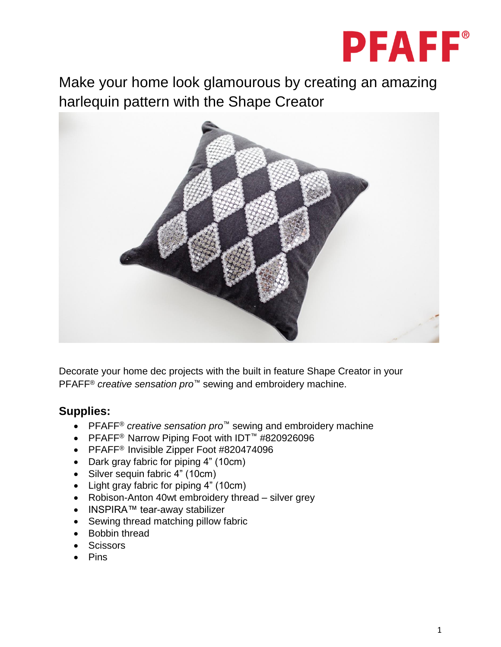

Make your home look glamourous by creating an amazing harlequin pattern with the Shape Creator



Decorate your home dec projects with the built in feature Shape Creator in your PFAFF® *creative sensation pro™* sewing and embroidery machine.

# **Supplies:**

- PFAFF® *creative sensation pro™* sewing and embroidery machine
- PFAFF® Narrow Piping Foot with IDT™ #820926096
- PFAFF<sup>®</sup> Invisible Zipper Foot #820474096
- Dark gray fabric for piping 4" (10cm)
- Silver sequin fabric 4" (10cm)
- Light gray fabric for piping 4" (10cm)
- Robison-Anton 40wt embroidery thread silver grey
- INSPIRA™ tear-away stabilizer
- Sewing thread matching pillow fabric
- Bobbin thread
- Scissors
- Pins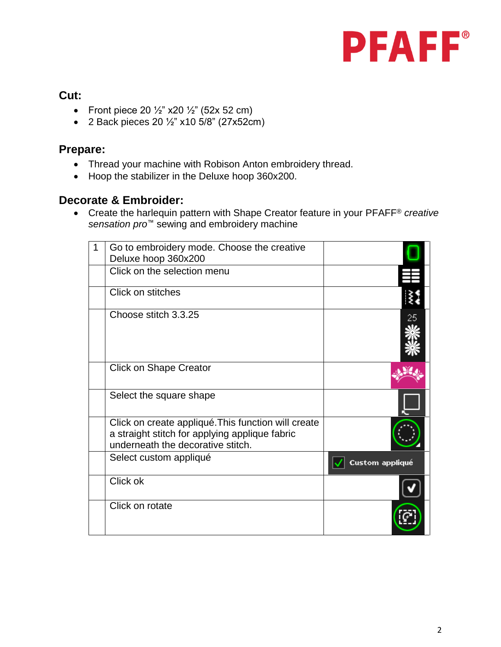

## **Cut:**

- Front piece 20  $\frac{1}{2}$ " x20  $\frac{1}{2}$ " (52x 52 cm)
- 2 Back pieces 20 ½" x10 5/8" (27x52cm)

### **Prepare:**

- Thread your machine with Robison Anton embroidery thread.
- Hoop the stabilizer in the Deluxe hoop 360x200.

#### **Decorate & Embroider:**

 Create the harlequin pattern with Shape Creator feature in your PFAFF® *creative sensation pro™* sewing and embroidery machine

| 1 | Go to embroidery mode. Choose the creative                                                                                                 |                 |
|---|--------------------------------------------------------------------------------------------------------------------------------------------|-----------------|
|   | Deluxe hoop 360x200                                                                                                                        |                 |
|   | Click on the selection menu                                                                                                                |                 |
|   | Click on stitches                                                                                                                          |                 |
|   | Choose stitch 3.3.25                                                                                                                       |                 |
|   | <b>Click on Shape Creator</b>                                                                                                              |                 |
|   | Select the square shape                                                                                                                    |                 |
|   | Click on create appliqué. This function will create<br>a straight stitch for applying applique fabric<br>underneath the decorative stitch. |                 |
|   | Select custom appliqué                                                                                                                     | Custom appliqué |
|   | Click ok                                                                                                                                   |                 |
|   | Click on rotate                                                                                                                            |                 |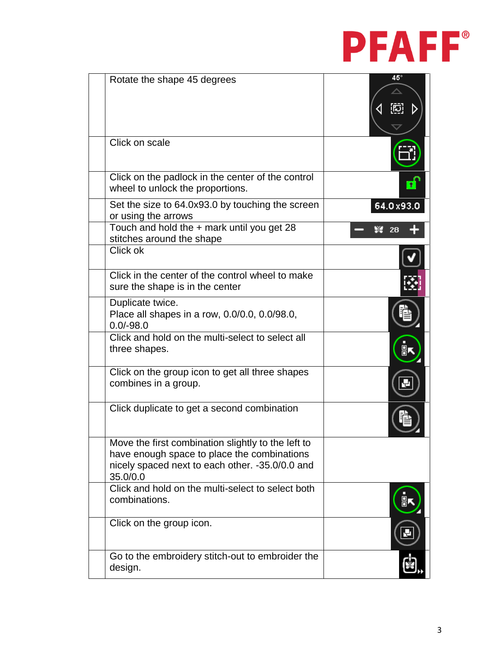

| Rotate the shape 45 degrees                                                                                                                                      | 45°       |
|------------------------------------------------------------------------------------------------------------------------------------------------------------------|-----------|
| Click on scale                                                                                                                                                   |           |
| Click on the padlock in the center of the control<br>wheel to unlock the proportions.                                                                            |           |
| Set the size to 64.0x93.0 by touching the screen<br>or using the arrows                                                                                          | 64.0x93.0 |
| Touch and hold the + mark until you get 28<br>stitches around the shape                                                                                          |           |
| Click ok                                                                                                                                                         |           |
| Click in the center of the control wheel to make<br>sure the shape is in the center                                                                              |           |
| Duplicate twice.<br>Place all shapes in a row, 0.0/0.0, 0.0/98.0,<br>$0.0/-98.0$                                                                                 |           |
| Click and hold on the multi-select to select all<br>three shapes.                                                                                                |           |
| Click on the group icon to get all three shapes<br>combines in a group.                                                                                          |           |
| Click duplicate to get a second combination                                                                                                                      |           |
| Move the first combination slightly to the left to<br>have enough space to place the combinations<br>nicely spaced next to each other. -35.0/0.0 and<br>35.0/0.0 |           |
| Click and hold on the multi-select to select both<br>combinations.                                                                                               |           |
| Click on the group icon.                                                                                                                                         |           |
| Go to the embroidery stitch-out to embroider the<br>design.                                                                                                      |           |